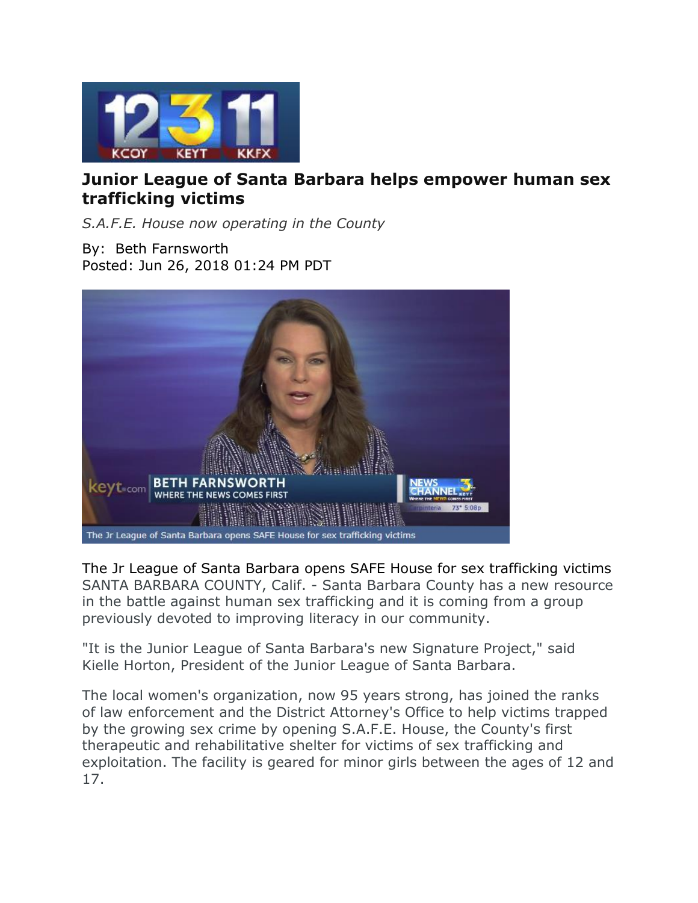

## **Junior League of Santa Barbara helps empower human sex trafficking victims**

*S.A.F.E. House now operating in the County*

By: Beth Farnsworth Posted: Jun 26, 2018 01:24 PM PDT



The Jr League of Santa Barbara opens SAFE House for sex trafficking victims SANTA BARBARA COUNTY, Calif. - Santa Barbara County has a new resource in the battle against human sex trafficking and it is coming from a group previously devoted to improving literacy in our community.

"It is the Junior League of Santa Barbara's new Signature Project," said Kielle Horton, President of the Junior League of Santa Barbara.

The local women's organization, now 95 years strong, has joined the ranks of law enforcement and the District Attorney's Office to help victims trapped by the growing sex crime by opening S.A.F.E. House, the County's first therapeutic and rehabilitative shelter for victims of sex trafficking and exploitation. The facility is geared for minor girls between the ages of 12 and 17.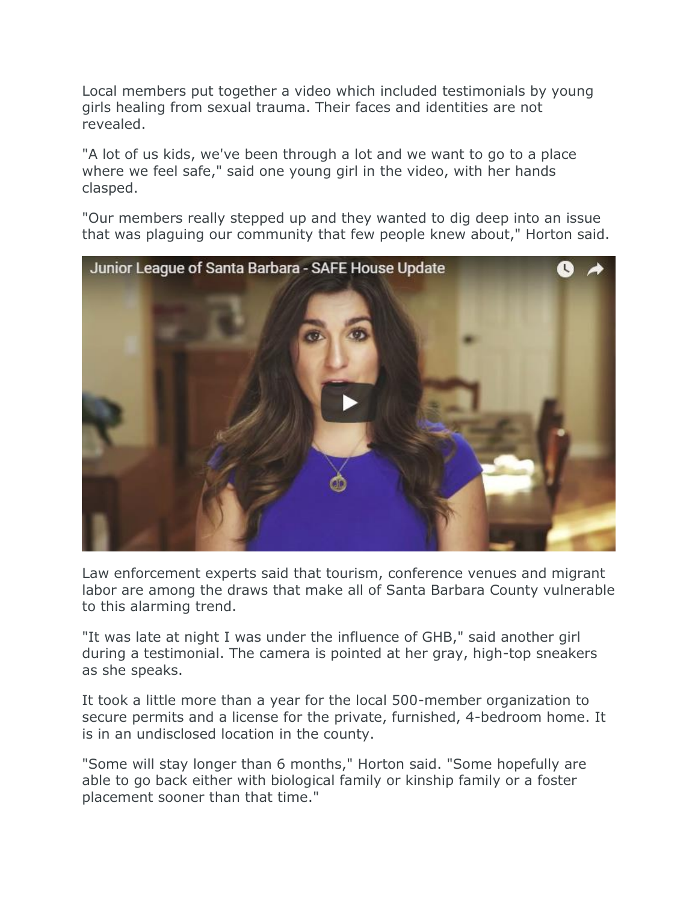Local members put together a video which included testimonials by young girls healing from sexual trauma. Their faces and identities are not revealed.

"A lot of us kids, we've been through a lot and we want to go to a place where we feel safe," said one young girl in the video, with her hands clasped.

"Our members really stepped up and they wanted to dig deep into an issue that was plaguing our community that few people knew about," Horton said.



Law enforcement experts said that tourism, conference venues and migrant labor are among the draws that make all of Santa Barbara County vulnerable to this alarming trend.

"It was late at night I was under the influence of GHB," said another girl during a testimonial. The camera is pointed at her gray, high-top sneakers as she speaks.

It took a little more than a year for the local 500-member organization to secure permits and a license for the private, furnished, 4-bedroom home. It is in an undisclosed location in the county.

"Some will stay longer than 6 months," Horton said. "Some hopefully are able to go back either with biological family or kinship family or a foster placement sooner than that time."